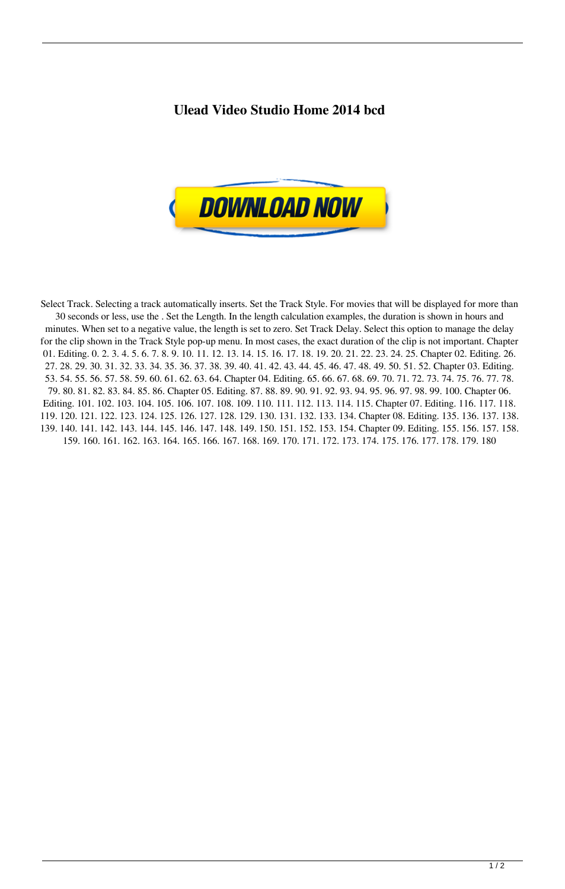## **Ulead Video Studio Home 2014 bcd**



Select Track. Selecting a track automatically inserts. Set the Track Style. For movies that will be displayed for more than 30 seconds or less, use the . Set the Length. In the length calculation examples, the duration is shown in hours and minutes. When set to a negative value, the length is set to zero. Set Track Delay. Select this option to manage the delay for the clip shown in the Track Style pop-up menu. In most cases, the exact duration of the clip is not important. Chapter 01. Editing. 0. 2. 3. 4. 5. 6. 7. 8. 9. 10. 11. 12. 13. 14. 15. 16. 17. 18. 19. 20. 21. 22. 23. 24. 25. Chapter 02. Editing. 26. 27. 28. 29. 30. 31. 32. 33. 34. 35. 36. 37. 38. 39. 40. 41. 42. 43. 44. 45. 46. 47. 48. 49. 50. 51. 52. Chapter 03. Editing. 53. 54. 55. 56. 57. 58. 59. 60. 61. 62. 63. 64. Chapter 04. Editing. 65. 66. 67. 68. 69. 70. 71. 72. 73. 74. 75. 76. 77. 78. 79. 80. 81. 82. 83. 84. 85. 86. Chapter 05. Editing. 87. 88. 89. 90. 91. 92. 93. 94. 95. 96. 97. 98. 99. 100. Chapter 06. Editing. 101. 102. 103. 104. 105. 106. 107. 108. 109. 110. 111. 112. 113. 114. 115. Chapter 07. Editing. 116. 117. 118. 119. 120. 121. 122. 123. 124. 125. 126. 127. 128. 129. 130. 131. 132. 133. 134. Chapter 08. Editing. 135. 136. 137. 138. 139. 140. 141. 142. 143. 144. 145. 146. 147. 148. 149. 150. 151. 152. 153. 154. Chapter 09. Editing. 155. 156. 157. 158. 159. 160. 161. 162. 163. 164. 165. 166. 167. 168. 169. 170. 171. 172. 173. 174. 175. 176. 177. 178. 179. 180